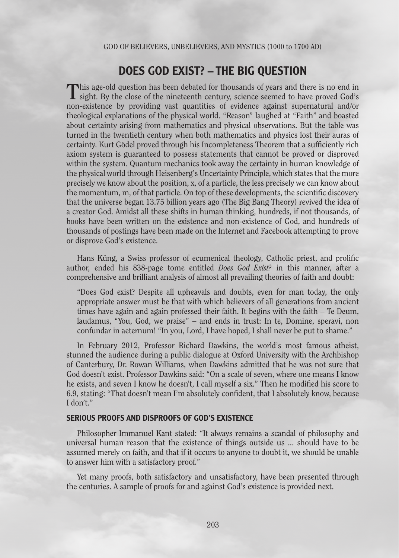# DOES GOD EXIST? – THE BIG QUESTION

This age-old question has been debated for thousands of years and there is no end in sight. By the close of the nineteenth century, science seemed to have proved God's non-existence by providing vast quantities of evidence against supernatural and/or theological explanations of the physical world. "Reason" laughed at "Faith" and boasted about certainty arising from mathematics and physical observations. But the table was turned in the twentieth century when both mathematics and physics lost their auras of certainty. Kurt Gödel proved through his Incompleteness Theorem that a sufficiently rich axiom system is guaranteed to possess statements that cannot be proved or disproved within the system. Quantum mechanics took away the certainty in human knowledge of the physical world through Heisenberg's Uncertainty Principle, which states that the more precisely we know about the position, x, of a particle, the less precisely we can know about the momentum, m, of that particle. On top of these developments, the scientific discovery that the universe began 13.75 billion years ago (The Big Bang Theory) revived the idea of a creator God. Amidst all these shifts in human thinking, hundreds, if not thousands, of books have been written on the existence and non-existence of God, and hundreds of thousands of postings have been made on the Internet and Facebook attempting to prove or disprove God's existence.

Hans Küng, a Swiss professor of ecumenical theology, Catholic priest, and prolific author, ended his 838-page tome entitled *Does God Exist?* in this manner, after a comprehensive and brilliant analysis of almost all prevailing theories of faith and doubt:

"Does God exist? Despite all upheavals and doubts, even for man today, the only appropriate answer must be that with which believers of all generations from ancient times have again and again professed their faith. It begins with the faith – Te Deum, laudamus, "You, God, we praise" – and ends in trust: In te, Domine, speravi, non confundar in aeternum! "In you, Lord, I have hoped, I shall never be put to shame."

In February 2012, Professor Richard Dawkins, the world's most famous atheist, stunned the audience during a public dialogue at Oxford University with the Archbishop of Canterbury, Dr. Rowan Williams, when Dawkins admitted that he was not sure that God doesn't exist. Professor Dawkins said: "On a scale of seven, where one means I know he exists, and seven I know he doesn't, I call myself a six." Then he modified his score to 6.9, stating: "That doesn't mean I'm absolutely confident, that I absolutely know, because I don't."

#### SERIOUS PROOFS AND DISPROOFS OF GOD'S EXISTENCE

Philosopher Immanuel Kant stated: "It always remains a scandal of philosophy and universal human reason that the existence of things outside us ... should have to be assumed merely on faith, and that if it occurs to anyone to doubt it, we should be unable to answer him with a satisfactory proof."

Yet many proofs, both satisfactory and unsatisfactory, have been presented through the centuries. A sample of proofs for and against God's existence is provided next.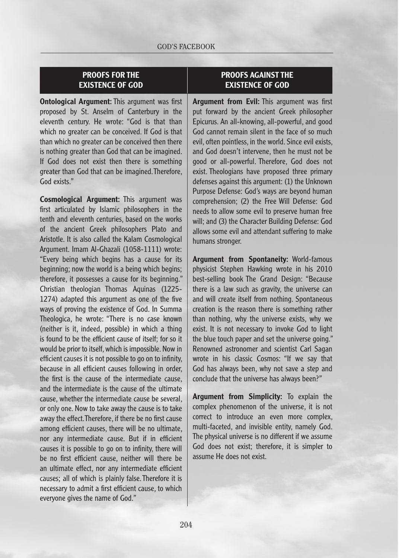### PROOFS FOR THE EXISTENCE OF GOD

**Ontological Argument:** This argument was first proposed by St. Anselm of Canterbury in the eleventh century. He wrote: "God is that than which no greater can be conceived. If God is that than which no greater can be conceived then there is nothing greater than God that can be imagined. If God does not exist then there is something greater than God that can be imagined. Therefore, God exists."

Cosmological Argument: This argument was first articulated by Islamic philosophers in the tenth and eleventh centuries, based on the works of the ancient Greek philosophers Plato and Aristotle. It is also called the Kalam Cosmological Argument. Imam Al-Ghazali (1058-1111) wrote: "Every being which begins has a cause for its beginning; now the world is a being which begins; therefore, it possesses a cause for its beginning." Christian theologian Thomas Aquinas (1225- 1274) adapted this argument as one of the five ways of proving the existence of God. In Summa Theologica, he wrote: "There is no case known (neither is it, indeed, possible) in which a thing is found to be the efficient cause of itself; for so it would be prior to itself, which is impossible. Now in efficient causes it is not possible to go on to infinity, because in all efficient causes following in order, the first is the cause of the intermediate cause, and the intermediate is the cause of the ultimate cause, whether the intermediate cause be several, or only one. Now to take away the cause is to take away the effect. Therefore, if there be no first cause among efficient causes, there will be no ultimate, nor any intermediate cause. But if in efficient causes it is possible to go on to infinity, there will be no first efficient cause, neither will there be an ultimate effect, nor any intermediate efficient causes; all of which is plainly false. Therefore it is necessary to admit a first efficient cause, to which everyone gives the name of God."

#### PROOFS AGAINST THE EXISTENCE OF GOD

**Argument from Evil:** This argument was first put forward by the ancient Greek philosopher Epicurus. An all-knowing, all-powerful, and good God cannot remain silent in the face of so much evil, often pointless, in the world. Since evil exists, and God doesn't intervene, then he must not be good or all-powerful. Therefore, God does not exist. Theologians have proposed three primary defenses against this argument: (1) the Unknown Purpose Defense: God's ways are beyond human comprehension; (2) the Free Will Defense: God needs to allow some evil to preserve human free will; and (3) the Character Building Defense: God allows some evil and attendant suffering to make humans stronger.

Argument from Spontaneity: World-famous physicist Stephen Hawking wrote in his 2010 best-selling book The Grand Design: "Because there is a law such as gravity, the universe can and will create itself from nothing. Spontaneous creation is the reason there is something rather than nothing, why the universe exists, why we exist. It is not necessary to invoke God to light the blue touch paper and set the universe going." Renowned astronomer and scientist Carl Sagan wrote in his classic Cosmos: "If we say that God has always been, why not save a step and conclude that the universe has always been?"

Argument from Simplicity: To explain the complex phenomenon of the universe, it is not correct to introduce an even more complex, multi-faceted, and invisible entity, namely God. The physical universe is no different if we assume God does not exist; therefore, it is simpler to assume He does not exist.